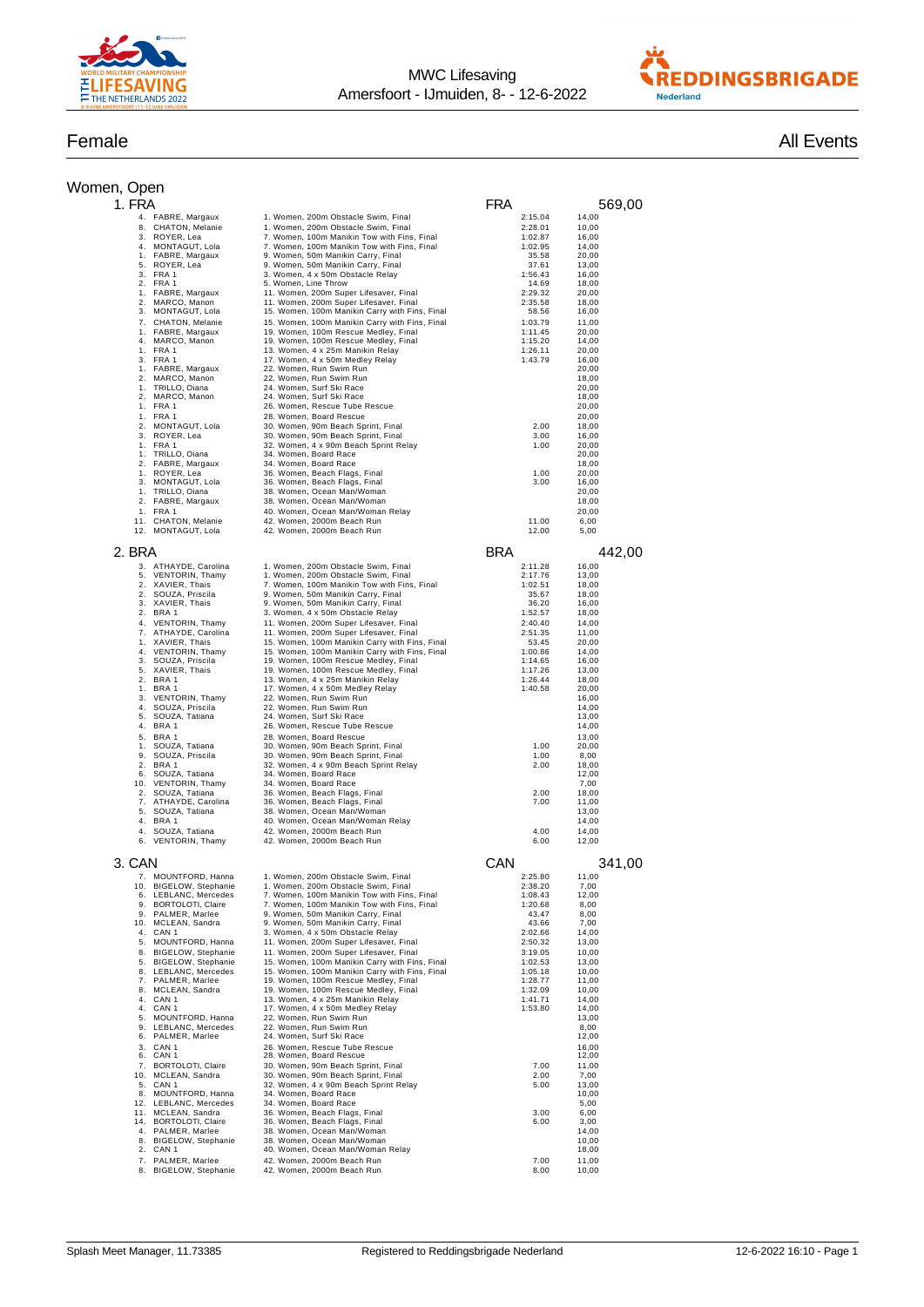



| Women, Open |  |
|-------------|--|
|             |  |

| Female | <b>All Events</b> |
|--------|-------------------|
|        |                   |

| /omen, Open |          |                                                |                                                                                                  |                    |                |  |
|-------------|----------|------------------------------------------------|--------------------------------------------------------------------------------------------------|--------------------|----------------|--|
|             | 1. FRA   |                                                |                                                                                                  | FRA                | 569,00         |  |
|             |          | 4. FABRE, Margaux<br>8. CHATON, Melanie        | 1. Women, 200m Obstacle Swim, Final                                                              | 2:15.04            | 14,00          |  |
|             | 3.       | ROYER, Lea                                     | 1. Women, 200m Obstacle Swim, Final<br>7. Women, 100m Manikin Tow with Fins, Final               | 2:28.01<br>1:02.87 | 10,00<br>16,00 |  |
|             | 4.       | MONTAGUT, Lola                                 | 7. Women, 100m Manikin Tow with Fins, Final                                                      | 1:02.95            | 14,00          |  |
|             | 1.<br>5. | FABRE, Margaux<br>ROYER, Lea                   | 9. Women, 50m Manikin Carry, Final<br>9. Women, 50m Manikin Carry, Final                         | 35.58<br>37.61     | 20,00<br>13,00 |  |
|             |          | 3. FRA 1                                       | 3. Women, 4 x 50m Obstacle Relay                                                                 | 1:56.43            | 16,00          |  |
|             |          | 2. FRA 1<br>1. FABRE, Margaux                  | 5. Women, Line Throw<br>11. Women, 200m Super Lifesaver, Final                                   | 14.69<br>2:29.32   | 18,00<br>20.00 |  |
|             | 2.       | MARCO, Manon                                   | 11. Women, 200m Super Lifesaver, Final                                                           | 2:35.58            | 18,00          |  |
|             | 3.<br>7. | MONTAGUT, Lola<br>CHATON, Melanie              | 15. Women, 100m Manikin Carry with Fins, Final<br>15. Women, 100m Manikin Carry with Fins, Final | 58.56<br>1:03.79   | 16,00<br>11,00 |  |
|             |          | 1. FABRE, Margaux                              | 19. Women, 100m Rescue Medley, Final                                                             | 1:11.45            | 20,00          |  |
|             |          | 4. MARCO, Manon<br>1. FRA 1                    | 19. Women, 100m Rescue Medley, Final<br>13. Women, 4 x 25m Manikin Relay                         | 1:15.20<br>1:26.11 | 14,00<br>20,00 |  |
|             |          | 3. FRA 1                                       | 17. Women, 4 x 50m Medley Relay                                                                  | 1:43.79            | 16,00          |  |
|             |          | 1. FABRE, Margaux<br>2. MARCO, Manon           | 22. Women, Run Swim Run<br>22. Women, Run Swim Run                                               |                    | 20,00<br>18,00 |  |
|             |          | 1. TRILLO, Oiana                               | 24. Women, Surf Ski Race                                                                         |                    | 20,00          |  |
|             |          | 2. MARCO, Manon<br>1. FRA 1                    | 24. Women, Surf Ski Race<br>26. Women, Rescue Tube Rescue                                        |                    | 18,00<br>20,00 |  |
|             |          | 1. FRA 1                                       | 28. Women, Board Rescue                                                                          |                    | 20,00          |  |
|             |          | 2. MONTAGUT, Lola<br>3. ROYER, Lea             | 30. Women, 90m Beach Sprint, Final<br>30. Women, 90m Beach Sprint, Final                         | 2.00<br>3.00       | 18,00<br>16,00 |  |
|             |          | 1. FRA 1                                       | 32. Women, 4 x 90m Beach Sprint Relay                                                            | 1.00               | 20,00          |  |
|             |          | 1. TRILLO, Oiana<br>2. FABRE, Margaux          | 34. Women, Board Race<br>34. Women, Board Race                                                   |                    | 20,00<br>18,00 |  |
|             |          | 1. ROYER, Lea                                  | 36. Women, Beach Flags, Final                                                                    | 1.00               | 20,00          |  |
|             |          | 3. MONTAGUT, Lola<br>TRILLO, Oiana             | 36. Women, Beach Flags, Final                                                                    | 3.00               | 16,00          |  |
|             | 1.       | 2. FABRE, Margaux                              | 38. Women, Ocean Man/Woman<br>38. Women, Ocean Man/Woman                                         |                    | 20,00<br>18,00 |  |
|             |          | 1. FRA 1                                       | 40. Women, Ocean Man/Woman Relay                                                                 |                    | 20.00          |  |
|             |          | 11. CHATON, Melanie<br>12. MONTAGUT, Lola      | 42. Women, 2000m Beach Run<br>42. Women, 2000m Beach Run                                         | 11.00<br>12.00     | 6,00<br>5,00   |  |
|             |          |                                                |                                                                                                  |                    |                |  |
|             | 2. BRA   |                                                |                                                                                                  | BRA                | 442,00         |  |
|             |          | 3. ATHAYDE, Carolina<br>5. VENTORIN, Thamy     | 1. Women, 200m Obstacle Swim, Final<br>1. Women, 200m Obstacle Swim, Final                       | 2:11.28<br>2:17.76 | 16,00<br>13,00 |  |
|             |          | 2. XAVIER, Thais                               | 7. Women, 100m Manikin Tow with Fins, Final                                                      | 1:02.51            | 18,00          |  |
|             |          | 2. SOUZA, Priscila<br>3. XAVIER, Thais         | 9. Women, 50m Manikin Carry, Final<br>9. Women, 50m Manikin Carry, Final                         | 35.67<br>36.20     | 18,00<br>16,00 |  |
|             | 2.       | BRA 1                                          | 3. Women, 4 x 50m Obstacle Relay                                                                 | 1:52.57            | 18,00          |  |
|             |          | 4. VENTORIN, Thamy<br>7. ATHAYDE, Carolina     | 11. Women, 200m Super Lifesaver, Final<br>11. Women, 200m Super Lifesaver, Final                 | 2:40.40<br>2:51.35 | 14,00<br>11,00 |  |
|             |          | 1. XAVIER, Thais                               | 15. Women, 100m Manikin Carry with Fins, Final                                                   | 53.45              | 20,00          |  |
|             |          | 4. VENTORIN, Thamy<br>3. SOUZA, Priscila       | 15. Women, 100m Manikin Carry with Fins, Final<br>19. Women, 100m Rescue Medley, Final           | 1:00.86<br>1:14.65 | 14,00<br>16,00 |  |
|             |          | 5. XAVIER, Thais                               | 19. Women, 100m Rescue Medley, Final                                                             | 1:17.26            | 13,00          |  |
|             |          | 2. BRA 1<br>1. BRA 1                           | 13. Women, 4 x 25m Manikin Relay<br>17. Women, 4 x 50m Medley Relay                              | 1:26.44<br>1:40.58 | 18,00<br>20,00 |  |
|             |          | 3. VENTORIN, Thamy                             | 22. Women, Run Swim Run                                                                          |                    | 16,00          |  |
|             | 4.       | SOUZA, Priscila<br>5. SOUZA, Tatiana           | 22. Women, Run Swim Run<br>24. Women, Surf Ski Race                                              |                    | 14,00<br>13,00 |  |
|             |          | 4. BRA 1                                       | 26. Women, Rescue Tube Rescue                                                                    |                    | 14,00          |  |
|             |          | 5. BRA 1                                       | 28. Women, Board Rescue                                                                          |                    | 13,00          |  |
|             | 1.       | SOUZA, Tatiana<br>9. SOUZA, Priscila           | 30. Women, 90m Beach Sprint, Final<br>30. Women, 90m Beach Sprint, Final                         | 1.00<br>1.00       | 20,00<br>8,00  |  |
|             |          | 2. BRA 1                                       | 32. Women, 4 x 90m Beach Sprint Relay                                                            | 2.00               | 18,00          |  |
|             |          | 6. SOUZA, Tatiana<br>10. VENTORIN, Thamy       | 34. Women, Board Race<br>34. Women, Board Race                                                   |                    | 12,00<br>7,00  |  |
|             |          | 2. SOUZA, Tatiana                              | 36. Women, Beach Flags, Final<br>36. Women, Beach Flags, Final                                   | 2.00               | 18,00          |  |
|             |          | 7. ATHAYDE, Carolina<br>5. SOUZA, Tatiana      | 38. Women, Ocean Man/Woman                                                                       | 7.00               | 11,00<br>13,00 |  |
|             |          | 4. BRA 1                                       | 40. Women, Ocean Man/Woman Relay                                                                 |                    | 14,00          |  |
|             | 4.       | SOUZA, Tatiana<br>6. VENTORIN, Thamy           | 42. Women, 2000m Beach Run<br>42. Women, 2000m Beach Run                                         | 4.00<br>6.00       | 14,00<br>12,00 |  |
|             |          |                                                |                                                                                                  |                    |                |  |
|             | 3. CAN   |                                                |                                                                                                  | CAN                | 341,00         |  |
|             |          | 7. MOUNTFORD, Hanna<br>10. BIGELOW, Stephanie  | 1. Women, 200m Obstacle Swim, Final<br>1. Women, 200m Obstacle Swim, Final                       | 2:25.80<br>2:38.20 | 11,00<br>7,00  |  |
|             |          | 6. LEBLANC, Mercedes                           | 7. Women, 100m Manikin Tow with Fins, Final                                                      | 1:08.43            | 12,00          |  |
|             |          | 9. BORTOLOTI, Claire<br>9. PALMER, Marlee      | 7. Women, 100m Manikin Tow with Fins, Final<br>9. Women, 50m Manikin Carry, Final                | 1:20.68<br>43.47   | 8,00<br>8,00   |  |
|             |          | 10. MCLEAN, Sandra                             | 9. Women, 50m Manikin Carry, Final                                                               | 43.66              | 7,00           |  |
|             |          | 4. CAN 1<br>5. MOUNTFORD, Hanna                | 3. Women, 4 x 50m Obstacle Relay<br>11. Women, 200m Super Lifesaver, Final                       | 2:02.66<br>2:50.32 | 14,00<br>13,00 |  |
|             |          | 8. BIGELOW, Stephanie                          | 11. Women, 200m Super Lifesaver, Final                                                           | 3:19.05            | 10,00          |  |
|             |          | 5. BIGELOW, Stephanie<br>8. LEBLANC, Mercedes  | 15. Women, 100m Manikin Carry with Fins, Final<br>15. Women, 100m Manikin Carry with Fins, Final | 1:02.53<br>1:05.18 | 13,00<br>10,00 |  |
|             |          | 7. PALMER, Marlee                              | 19. Women, 100m Rescue Medley, Final                                                             | 1:28.77            | 11,00          |  |
|             |          | 8. MCLEAN, Sandra<br>4. CAN 1                  | 19. Women, 100m Rescue Medley, Final<br>13. Women, 4 x 25m Manikin Relay                         | 1:32.09<br>1:41.71 | 10,00<br>14,00 |  |
|             |          | 4. CAN 1                                       | 17. Women, 4 x 50m Medley Relay                                                                  | 1:53.80            | 14,00          |  |
|             |          | 5. MOUNTFORD, Hanna<br>9. LEBLANC, Mercedes    | 22. Women, Run Swim Run<br>22. Women, Run Swim Run                                               |                    | 13,00<br>8,00  |  |
|             |          | 6. PALMER, Marlee                              | 24. Women, Surf Ski Race                                                                         |                    | 12,00          |  |
|             | 3.       | CAN 1<br>6. CAN 1                              | 26. Women. Rescue Tube Rescue<br>28. Women, Board Rescue                                         |                    | 16.00<br>12,00 |  |
|             |          | 7. BORTOLOTI, Claire                           | 30. Women, 90m Beach Sprint, Final                                                               | 7.00               | 11,00          |  |
|             |          | 10. MCLEAN, Sandra<br>5. CAN 1                 | 30. Women, 90m Beach Sprint, Final<br>32. Women, 4 x 90m Beach Sprint Relay                      | 2.00<br>5.00       | 7,00<br>13,00  |  |
|             |          | 8. MOUNTFORD, Hanna                            | 34. Women, Board Race                                                                            |                    | 10,00          |  |
|             |          | 12. LEBLANC, Mercedes<br>11. MCLEAN, Sandra    | 34. Women, Board Race<br>36. Women, Beach Flags, Final                                           | 3.00               | 5,00<br>6,00   |  |
|             |          | 14. BORTOLOTI, Claire                          | 36. Women, Beach Flags, Final                                                                    | 6.00               | 3,00           |  |
|             | 8.       | 4. PALMER, Marlee<br><b>BIGELOW, Stephanie</b> | 38. Women, Ocean Man/Woman<br>38. Women, Ocean Man/Woman                                         |                    | 14,00<br>10,00 |  |
|             | 2.       | CAN 1                                          | 40. Women, Ocean Man/Woman Relay                                                                 |                    | 18,00          |  |
|             |          | 7. PALMER, Marlee<br>8. BIGELOW, Stephanie     | 42. Women, 2000m Beach Run<br>42. Women, 2000m Beach Run                                         | 7.00<br>8.00       | 11,00<br>10,00 |  |
|             |          |                                                |                                                                                                  |                    |                |  |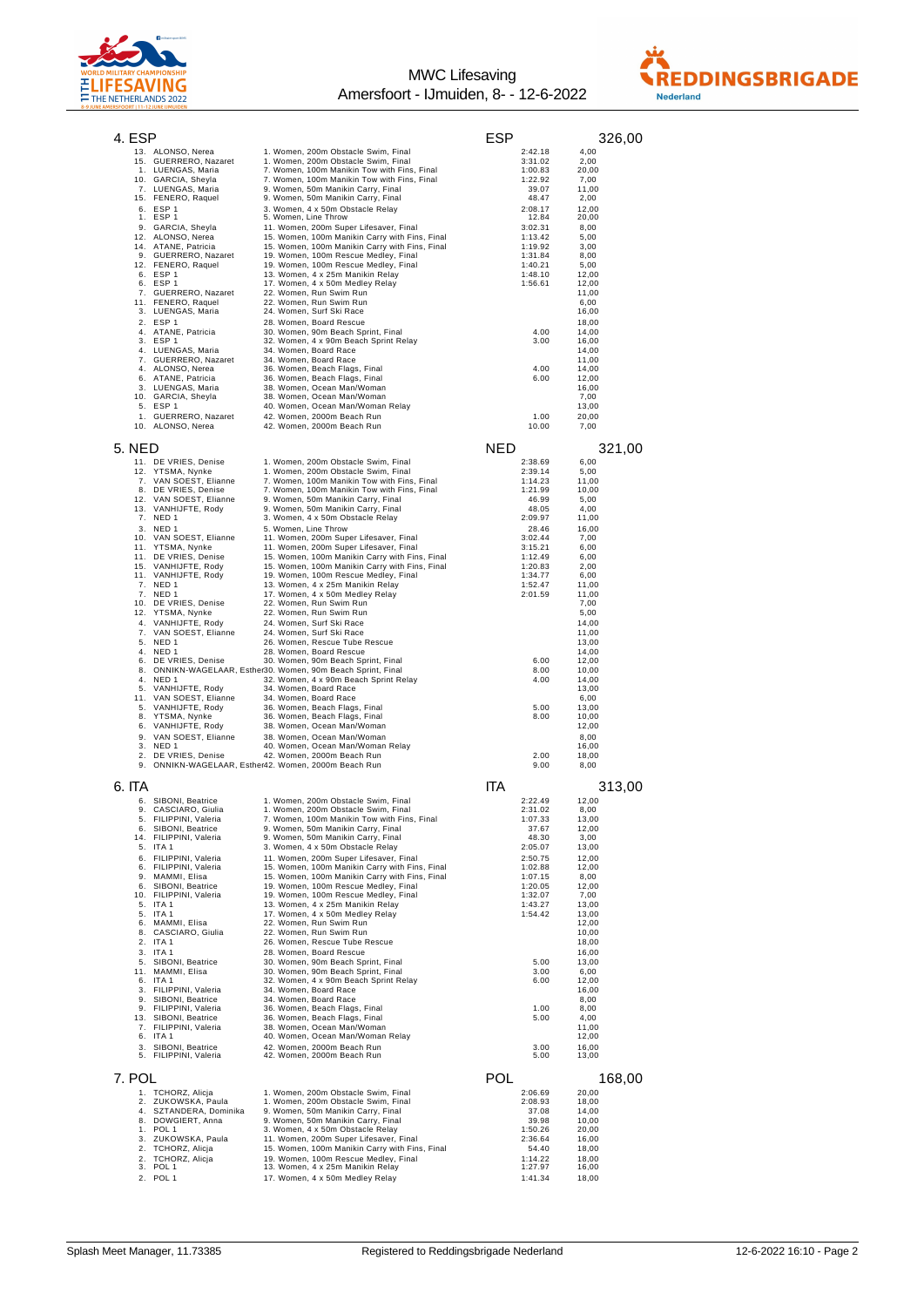



| 4. ESP                                           |                                                                                                             | ESP                           | 326,00                  |
|--------------------------------------------------|-------------------------------------------------------------------------------------------------------------|-------------------------------|-------------------------|
| 13. ALONSO, Nerea                                | 1. Women, 200m Obstacle Swim, Final                                                                         | 2:42.18                       | 4,00                    |
| 15. GUERRERO, Nazaret<br>1. LUENGAS, Maria       | 1. Women, 200m Obstacle Swim, Final<br>7. Women, 100m Manikin Tow with Fins, Final                          | 3:31.02<br>1:00.83            | 2,00<br>20,00           |
| 10. GARCIA, Sheyla                               | 7. Women, 100m Manikin Tow with Fins, Final                                                                 | 1:22.92                       | 7,00                    |
| 7. LUENGAS, Maria                                | 9. Women, 50m Manikin Carry, Final                                                                          | 39.07                         | 11,00                   |
| 15. FENERO, Raquel                               | 9. Women, 50m Manikin Carry, Final                                                                          | 48.47                         | 2,00                    |
| 6. ESP 1<br>1. ESP 1                             | 3. Women, 4 x 50m Obstacle Relay<br>5. Women, Line Throw                                                    | 2:08.17<br>12.84              | 12,00<br>20,00          |
| 9. GARCIA, Sheyla                                | 11. Women, 200m Super Lifesaver, Final                                                                      | 3:02.31                       | 8,00                    |
| 12. ALONSO, Nerea                                | 15. Women, 100m Manikin Carry with Fins, Final                                                              | 1:13.42                       | 5,00                    |
| 14. ATANE, Patricia                              | 15. Women, 100m Manikin Carry with Fins, Final                                                              | 1:19.92                       | 3,00                    |
| 9. GUERRERO, Nazaret<br>12. FENERO, Raquel       | 19. Women, 100m Rescue Medley, Final<br>19. Women, 100m Rescue Medley, Final                                | 1:31.84<br>1:40.21            | 8,00<br>5,00            |
| 6. ESP 1                                         | 13. Women, 4 x 25m Manikin Relay                                                                            | 1:48.10                       | 12,00                   |
| 6. ESP 1                                         | 17. Women, 4 x 50m Medley Relay                                                                             | 1:56.61                       | 12,00                   |
| 7. GUERRERO, Nazaret                             | 22. Women, Run Swim Run                                                                                     |                               | 11,00                   |
| 11. FENERO, Raquel<br>3. LUENGAS, Maria          | 22. Women, Run Swim Run<br>24. Women, Surf Ski Race                                                         |                               | 6,00<br>16,00           |
| 2. ESP 1                                         | 28. Women, Board Rescue                                                                                     |                               | 18,00                   |
| 4.<br>ATANE, Patricia                            | 30. Women, 90m Beach Sprint, Final                                                                          | 4.00                          | 14,00                   |
| 3. ESP 1                                         | 32. Women, 4 x 90m Beach Sprint Relay<br>34. Women, Board Race                                              | 3.00                          | 16,00<br>14.00          |
| 4.<br>LUENGAS, Maria<br>GUERRERO, Nazaret<br>7.  | 34. Women, Board Race                                                                                       |                               | 11,00                   |
| ALONSO, Nerea<br>4.                              | 36. Women, Beach Flags, Final                                                                               | 4.00                          | 14,00                   |
| 6. ATANE, Patricia                               | 36. Women, Beach Flags, Final                                                                               | 6.00                          | 12,00                   |
| 3. LUENGAS, Maria<br>10. GARCIA, Sheyla          | 38. Women, Ocean Man/Woman<br>38. Women, Ocean Man/Woman                                                    |                               | 16,00<br>7,00           |
| 5. ESP 1                                         | 40. Women, Ocean Man/Woman Relay                                                                            |                               | 13,00                   |
| 1. GUERRERO, Nazaret                             | 42. Women, 2000m Beach Run                                                                                  | 1.00                          | 20,00                   |
| 10. ALONSO, Nerea                                | 42. Women, 2000m Beach Run                                                                                  | 10.00                         | 7,00                    |
|                                                  |                                                                                                             |                               |                         |
| 5. NED                                           |                                                                                                             | NED                           | 321,00                  |
| 11. DE VRIES, Denise                             | 1. Women, 200m Obstacle Swim, Final                                                                         | 2:38.69                       | 6,00                    |
| 12. YTSMA, Nynke<br>VAN SOEST, Elianne<br>7.     | 1. Women, 200m Obstacle Swim, Final<br>7. Women, 100m Manikin Tow with Fins, Final                          | 2:39.14<br>1:14.23            | 5,00<br>11,00           |
| 8. DE VRIES, Denise                              | 7. Women, 100m Manikin Tow with Fins, Final                                                                 | 1:21.99                       | 10,00                   |
| 12. VAN SOEST, Elianne                           | 9. Women, 50m Manikin Carry, Final                                                                          | 46.99                         | 5,00                    |
| 13. VANHIJFTE, Rody                              | 9. Women, 50m Manikin Carry, Final                                                                          | 48.05                         | 4,00                    |
| 7. NED 1<br>3. NED 1                             | 3. Women, 4 x 50m Obstacle Relay<br>5. Women, Line Throw                                                    | 2:09.97<br>28.46              | 11,00<br>16,00          |
| 10. VAN SOEST, Elianne                           | 11. Women, 200m Super Lifesaver, Final                                                                      | 3:02.44                       | 7,00                    |
| 11. YTSMA, Nynke                                 | 11. Women, 200m Super Lifesaver, Final                                                                      | 3:15.21                       | 6,00                    |
| 11. DE VRIES, Denise                             | 15. Women, 100m Manikin Carry with Fins, Final                                                              | 1:12.49                       | 6,00                    |
| 15. VANHIJFTE, Rody<br>11. VANHIJFTE, Rody       | 15. Women, 100m Manikin Carry with Fins, Final<br>19. Women, 100m Rescue Medley, Final                      | 1:20.83<br>1:34.77            | 2,00<br>6,00            |
| 7. NED 1                                         | 13. Women, 4 x 25m Manikin Relay                                                                            | 1:52.47                       | 11,00                   |
| 7. NED 1                                         | 17. Women, 4 x 50m Medley Relay                                                                             | 2:01.59                       | 11,00                   |
| 10. DE VRIES, Denise                             | 22. Women, Run Swim Run                                                                                     |                               | 7,00                    |
| 12. YTSMA, Nynke<br>VANHIJFTE, Rody              | 22. Women, Run Swim Run<br>24. Women, Surf Ski Race                                                         |                               | 5,00<br>14,00           |
| 4.<br>7.<br>VAN SOEST, Elianne                   | 24. Women, Surf Ski Race                                                                                    |                               | 11,00                   |
| 5. NED 1                                         | 26. Women, Rescue Tube Rescue                                                                               |                               | 13,00                   |
| 4.<br>NED 1                                      | 28. Women, Board Rescue                                                                                     |                               | 14,00                   |
| 6.<br>DE VRIES, Denise<br>8.                     | 30. Women, 90m Beach Sprint, Final<br>ONNIKN-WAGELAAR, Esther30. Women, 90m Beach Sprint, Final             | 6.00<br>8.00                  | 12,00<br>10,00          |
| 4.<br>NED 1                                      | 32. Women, 4 x 90m Beach Sprint Relay                                                                       | 4.00                          | 14,00                   |
| VANHIJFTE, Rody<br>5.                            | 34. Women, Board Race                                                                                       |                               | 13,00                   |
| 11.<br>VAN SOEST, Elianne                        | 34. Women, Board Race                                                                                       |                               | 6,00                    |
| VANHIJFTE, Rody<br>5.<br>YTSMA, Nynke<br>8.      | 36. Women, Beach Flags, Final<br>36. Women, Beach Flags, Final                                              | 5.00<br>8.00                  | 13,00<br>10,00          |
| 6.<br>VANHIJFTE, Rody                            | 38. Women, Ocean Man/Woman                                                                                  |                               | 12,00                   |
| 9. VAN SOEST, Elianne                            | 38. Women, Ocean Man/Woman                                                                                  |                               | 8,00                    |
| 3. NED 1                                         | 40. Women, Ocean Man/Woman Relay                                                                            |                               | 16,00                   |
| 2. DE VRIES, Denise                              | 42. Women, 2000m Beach Run<br>ONNIKN-WAGELAAR, Esther42. Women, 2000m Beach Run                             | 2.00<br>9.00                  | 18,00<br>8,00           |
|                                                  |                                                                                                             |                               |                         |
| 6. ITA                                           |                                                                                                             | ITA                           | 313,00                  |
| 6. SIBONI, Beatrice                              | 1. Women, 200m Obstacle Swim, Final                                                                         | 2:22.49                       | 12,00                   |
| 9.<br>CASCIARO, Giulia                           | 1. Women, 200m Obstacle Swim, Final                                                                         | 2:31.02                       | 8,00                    |
| FILIPPINI, Valeria<br>5.                         | 7. Women, 100m Manikin Tow with Fins, Final                                                                 | 1:07.33                       | 13,00                   |
| SIBONI, Beatrice<br>б.<br>14. FILIPPINI, Valeria | 9. Women, 50m Manikin Carry, Final<br>9. Women, 50m Manikin Carry, Final                                    | 37.67<br>48.30                | 12,00<br>3,00           |
| 5. ITA 1                                         | 3. Women, 4 x 50m Obstacle Relay                                                                            | 2:05.07                       | 13,00                   |
| 6. FILIPPINI, Valeria                            | 11. Women, 200m Super Lifesaver, Final                                                                      | 2:50.75                       | 12.00                   |
| 6. FILIPPINI, Valeria                            | 15. Women, 100m Manikin Carry with Fins, Final                                                              | 1:02.88                       | 12,00                   |
| MAMMI, Elisa<br>9.<br>6. SIBONI, Beatrice        | 15. Women, 100m Manikin Carry with Fins, Final<br>19. Women, 100m Rescue Medley, Final                      | 1:07.15<br>1:20.05            | 8,00<br>12,00           |
| 10. FILIPPINI, Valeria                           | 19. Women, 100m Rescue Medley, Final                                                                        | 1:32.07                       | 7,00                    |
| 5. ITA 1                                         | 13. Women, 4 x 25m Manikin Relay                                                                            | 1:43.27                       | 13,00                   |
| ITA 1<br>5.<br>6.<br>MAMMI, Elisa                | 17. Women, 4 x 50m Medley Relay<br>22. Women, Run Swim Run                                                  | 1:54.42                       | 13,00<br>12,00          |
| 8.<br>CASCIARO, Giulia                           | 22. Women, Run Swim Run                                                                                     |                               | 10.00                   |
| 2. ITA 1                                         | 26. Women, Rescue Tube Rescue                                                                               |                               | 18,00                   |
| 3. ITA 1                                         | 28. Women, Board Rescue                                                                                     |                               | 16,00                   |
| 5. SIBONI, Beatrice                              | 30. Women, 90m Beach Sprint, Final                                                                          | 5.00                          | 13,00                   |
| 11. MAMMI, Elisa<br>6. ITA 1                     | 30. Women, 90m Beach Sprint, Final<br>32. Women, 4 x 90m Beach Sprint Relay                                 | 3.00<br>6.00                  | 6,00<br>12,00           |
| 3. FILIPPINI, Valeria                            | 34. Women, Board Race                                                                                       |                               | 16,00                   |
| 9. SIBONI, Beatrice                              | 34. Women, Board Race                                                                                       |                               | 8,00                    |
| 9. FILIPPINI, Valeria<br>13. SIBONI, Beatrice    | 36. Women, Beach Flags, Final<br>36. Women, Beach Flags, Final                                              | 1.00<br>5.00                  | 8,00<br>4,00            |
| 7. FILIPPINI, Valeria                            | 38. Women, Ocean Man/Woman                                                                                  |                               | 11,00                   |
| 6. ITA 1                                         |                                                                                                             |                               | 12,00                   |
| SIBONI, Beatrice<br>3.                           | 40. Women, Ocean Man/Woman Relay                                                                            |                               |                         |
| 5. FILIPPINI, Valeria                            | 42. Women, 2000m Beach Run                                                                                  | 3.00                          | 16,00                   |
| 7. POL                                           | 42. Women, 2000m Beach Run                                                                                  | 5.00                          | 13,00                   |
|                                                  |                                                                                                             |                               |                         |
|                                                  |                                                                                                             | POL                           | 168,00                  |
| 1. TCHORZ, Alicja                                | 1. Women, 200m Obstacle Swim, Final                                                                         | 2:06.69                       | 20,00                   |
| 2. ZUKOWSKA, Paula<br>4. SZTANDERA, Dominika     | 1. Women, 200m Obstacle Swim, Final<br>9. Women, 50m Manikin Carry, Final                                   | 2:08.93<br>37.08              | 18,00<br>14,00          |
| 8. DOWGIERT, Anna                                | 9. Women, 50m Manikin Carry, Final                                                                          | 39.98                         | 10,00                   |
| 1. POL 1                                         | 3. Women, 4 x 50m Obstacle Relay                                                                            | 1:50.26                       | 20,00                   |
| 3. ZUKOWSKA, Paula                               | 11. Women, 200m Super Lifesaver, Final                                                                      | 2:36.64                       | 16,00                   |
| 2. TCHORZ, Alicja<br>2.                          | 15. Women, 100m Manikin Carry with Fins, Final                                                              | 54.40                         | 18,00                   |
| TCHORZ, Alicja<br>3. POL 1<br>2. POL 1           | 19. Women, 100m Rescue Medley, Final<br>13. Women, 4 x 25m Manikin Relay<br>17. Women, 4 x 50m Medley Relay | 1:14.22<br>1:27.97<br>1:41.34 | 18,00<br>16,00<br>18,00 |